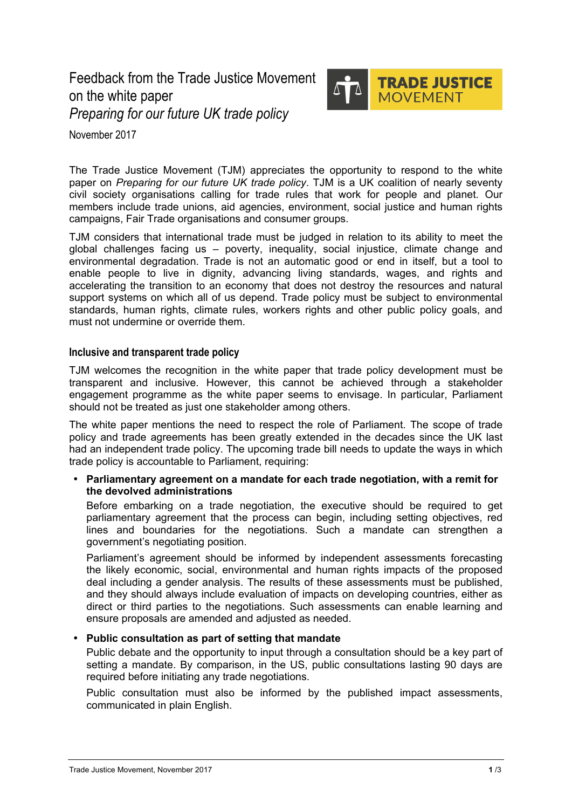Feedback from the Trade Justice Movement on the white paper *Preparing for our future UK trade policy*



November 2017

The Trade Justice Movement (TJM) appreciates the opportunity to respond to the white paper on *Preparing for our future UK trade policy*. TJM is a UK coalition of nearly seventy civil society organisations calling for trade rules that work for people and planet. Our members include trade unions, aid agencies, environment, social justice and human rights campaigns, Fair Trade organisations and consumer groups.

TJM considers that international trade must be judged in relation to its ability to meet the global challenges facing us – poverty, inequality, social injustice, climate change and environmental degradation. Trade is not an automatic good or end in itself, but a tool to enable people to live in dignity, advancing living standards, wages, and rights and accelerating the transition to an economy that does not destroy the resources and natural support systems on which all of us depend. Trade policy must be subject to environmental standards, human rights, climate rules, workers rights and other public policy goals, and must not undermine or override them.

### **Inclusive and transparent trade policy**

TJM welcomes the recognition in the white paper that trade policy development must be transparent and inclusive. However, this cannot be achieved through a stakeholder engagement programme as the white paper seems to envisage. In particular, Parliament should not be treated as just one stakeholder among others.

The white paper mentions the need to respect the role of Parliament. The scope of trade policy and trade agreements has been greatly extended in the decades since the UK last had an independent trade policy. The upcoming trade bill needs to update the ways in which trade policy is accountable to Parliament, requiring:

# • **Parliamentary agreement on a mandate for each trade negotiation, with a remit for the devolved administrations**

Before embarking on a trade negotiation, the executive should be required to get parliamentary agreement that the process can begin, including setting objectives, red lines and boundaries for the negotiations. Such a mandate can strengthen a government's negotiating position.

Parliament's agreement should be informed by independent assessments forecasting the likely economic, social, environmental and human rights impacts of the proposed deal including a gender analysis. The results of these assessments must be published, and they should always include evaluation of impacts on developing countries, either as direct or third parties to the negotiations. Such assessments can enable learning and ensure proposals are amended and adjusted as needed.

# • **Public consultation as part of setting that mandate**

Public debate and the opportunity to input through a consultation should be a key part of setting a mandate. By comparison, in the US, public consultations lasting 90 days are required before initiating any trade negotiations.

Public consultation must also be informed by the published impact assessments, communicated in plain English.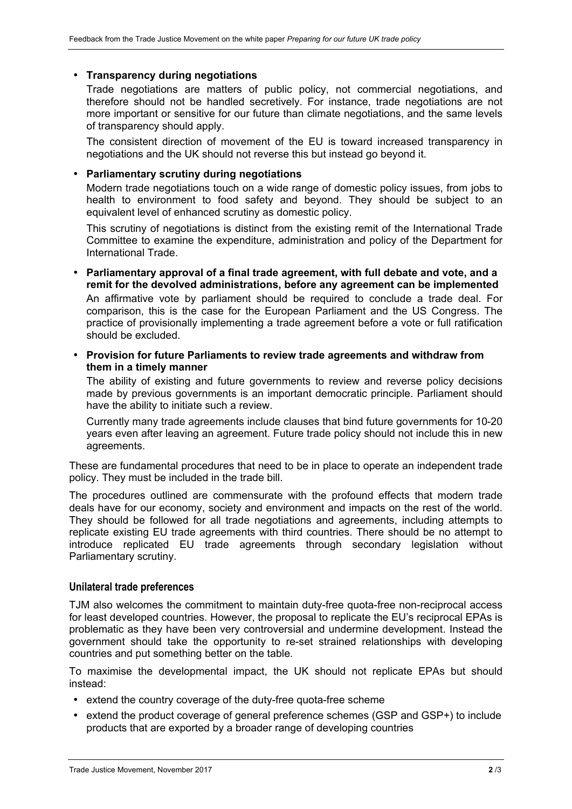### • **Transparency during negotiations**

Trade negotiations are matters of public policy, not commercial negotiations, and therefore should not be handled secretively. For instance, trade negotiations are not more important or sensitive for our future than climate negotiations, and the same levels of transparency should apply.

The consistent direction of movement of the EU is toward increased transparency in negotiations and the UK should not reverse this but instead go beyond it.

### • **Parliamentary scrutiny during negotiations**

Modern trade negotiations touch on a wide range of domestic policy issues, from jobs to health to environment to food safety and beyond. They should be subject to an equivalent level of enhanced scrutiny as domestic policy.

This scrutiny of negotiations is distinct from the existing remit of the International Trade Committee to examine the expenditure, administration and policy of the Department for International Trade.

- **Parliamentary approval of a final trade agreement, with full debate and vote, and a remit for the devolved administrations, before any agreement can be implemented** An affirmative vote by parliament should be required to conclude a trade deal. For comparison, this is the case for the European Parliament and the US Congress. The practice of provisionally implementing a trade agreement before a vote or full ratification should be excluded.
- **Provision for future Parliaments to review trade agreements and withdraw from them in a timely manner**

The ability of existing and future governments to review and reverse policy decisions made by previous governments is an important democratic principle. Parliament should have the ability to initiate such a review.

Currently many trade agreements include clauses that bind future governments for 10-20 years even after leaving an agreement. Future trade policy should not include this in new agreements.

These are fundamental procedures that need to be in place to operate an independent trade policy. They must be included in the trade bill.

The procedures outlined are commensurate with the profound effects that modern trade deals have for our economy, society and environment and impacts on the rest of the world. They should be followed for all trade negotiations and agreements, including attempts to replicate existing EU trade agreements with third countries. There should be no attempt to introduce replicated EU trade agreements through secondary legislation without Parliamentary scrutiny.

#### **Unilateral trade preferences**

TJM also welcomes the commitment to maintain duty-free quota-free non-reciprocal access for least developed countries. However, the proposal to replicate the EU's reciprocal EPAs is problematic as they have been very controversial and undermine development. Instead the government should take the opportunity to re-set strained relationships with developing countries and put something better on the table.

To maximise the developmental impact, the UK should not replicate EPAs but should instead:

- extend the country coverage of the duty-free quota-free scheme
- extend the product coverage of general preference schemes (GSP and GSP+) to include products that are exported by a broader range of developing countries